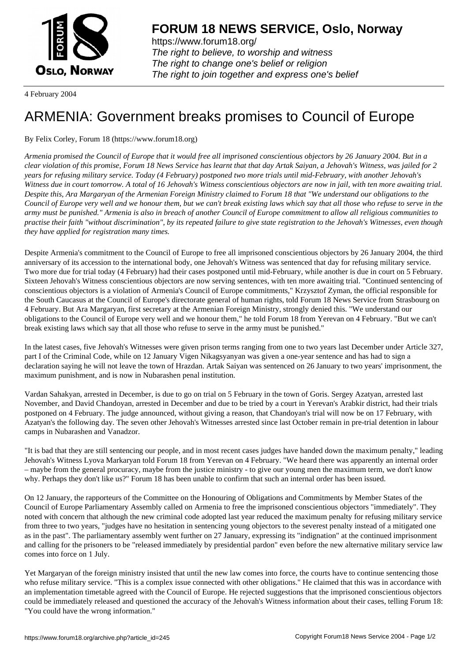

https://www.forum18.org/ The right to believe, to worship and witness The right to change one's belief or religion [The right to join together a](https://www.forum18.org/)nd express one's belief

4 February 2004

## [ARMENIA: Gov](https://www.forum18.org)ernment breaks promises to Council of Europe

By Felix Corley, Forum 18 (https://www.forum18.org)

*Armenia promised the Council of Europe that it would free all imprisoned conscientious objectors by 26 January 2004. But in a clear violation of this promise, Forum 18 News Service has learnt that that day Artak Saiyan, a Jehovah's Witness, was jailed for 2 years for refusing military service. Today (4 February) postponed two more trials until mid-February, with another Jehovah's Witness due in court tomorrow. A total of 16 Jehovah's Witness conscientious objectors are now in jail, with ten more awaiting trial. Despite this, Ara Margaryan of the Armenian Foreign Ministry claimed to Forum 18 that "We understand our obligations to the Council of Europe very well and we honour them, but we can't break existing laws which say that all those who refuse to serve in the army must be punished." Armenia is also in breach of another Council of Europe commitment to allow all religious communities to practise their faith "without discrimination", by its repeated failure to give state registration to the Jehovah's Witnesses, even though they have applied for registration many times.*

Despite Armenia's commitment to the Council of Europe to free all imprisoned conscientious objectors by 26 January 2004, the third anniversary of its accession to the international body, one Jehovah's Witness was sentenced that day for refusing military service. Two more due for trial today (4 February) had their cases postponed until mid-February, while another is due in court on 5 February. Sixteen Jehovah's Witness conscientious objectors are now serving sentences, with ten more awaiting trial. "Continued sentencing of conscientious objectors is a violation of Armenia's Council of Europe commitments," Krzysztof Zyman, the official responsible for the South Caucasus at the Council of Europe's directorate general of human rights, told Forum 18 News Service from Strasbourg on 4 February. But Ara Margaryan, first secretary at the Armenian Foreign Ministry, strongly denied this. "We understand our obligations to the Council of Europe very well and we honour them," he told Forum 18 from Yerevan on 4 February. "But we can't break existing laws which say that all those who refuse to serve in the army must be punished."

In the latest cases, five Jehovah's Witnesses were given prison terms ranging from one to two years last December under Article 327, part I of the Criminal Code, while on 12 January Vigen Nikagsyanyan was given a one-year sentence and has had to sign a declaration saying he will not leave the town of Hrazdan. Artak Saiyan was sentenced on 26 January to two years' imprisonment, the maximum punishment, and is now in Nubarashen penal institution.

Vardan Sahakyan, arrested in December, is due to go on trial on 5 February in the town of Goris. Sergey Azatyan, arrested last November, and David Chandoyan, arrested in December and due to be tried by a court in Yerevan's Arabkir district, had their trials postponed on 4 February. The judge announced, without giving a reason, that Chandoyan's trial will now be on 17 February, with Azatyan's the following day. The seven other Jehovah's Witnesses arrested since last October remain in pre-trial detention in labour camps in Nubarashen and Vanadzor.

"It is bad that they are still sentencing our people, and in most recent cases judges have handed down the maximum penalty," leading Jehovah's Witness Lyova Markaryan told Forum 18 from Yerevan on 4 February. "We heard there was apparently an internal order – maybe from the general procuracy, maybe from the justice ministry - to give our young men the maximum term, we don't know why. Perhaps they don't like us?" Forum 18 has been unable to confirm that such an internal order has been issued.

On 12 January, the rapporteurs of the Committee on the Honouring of Obligations and Commitments by Member States of the Council of Europe Parliamentary Assembly called on Armenia to free the imprisoned conscientious objectors "immediately". They noted with concern that although the new criminal code adopted last year reduced the maximum penalty for refusing military service from three to two years, "judges have no hesitation in sentencing young objectors to the severest penalty instead of a mitigated one as in the past". The parliamentary assembly went further on 27 January, expressing its "indignation" at the continued imprisonment and calling for the prisoners to be "released immediately by presidential pardon" even before the new alternative military service law comes into force on 1 July.

Yet Margaryan of the foreign ministry insisted that until the new law comes into force, the courts have to continue sentencing those who refuse military service. "This is a complex issue connected with other obligations." He claimed that this was in accordance with an implementation timetable agreed with the Council of Europe. He rejected suggestions that the imprisoned conscientious objectors could be immediately released and questioned the accuracy of the Jehovah's Witness information about their cases, telling Forum 18: "You could have the wrong information."